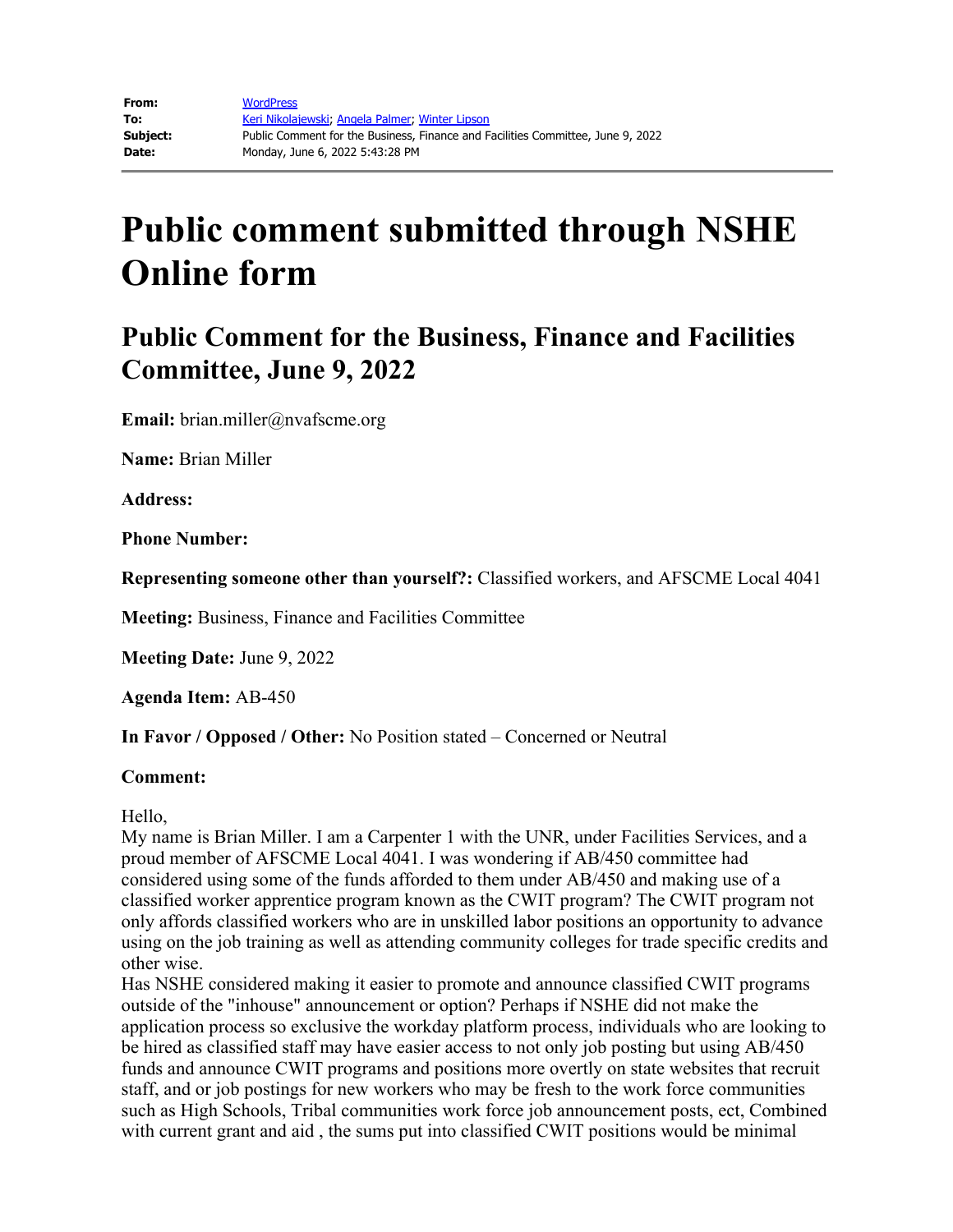## **Public comment submitted through NSHE Online form**

## **Public Comment for the Business, Finance and Facilities Committee, June 9, 2022**

**Email:** brian.miller@nvafscme.org

**Name:** Brian Miller

**Address:** 

**Phone Number:** 

**Representing someone other than yourself?:** Classified workers, and AFSCME Local 4041

**Meeting:** Business, Finance and Facilities Committee

**Meeting Date:** June 9, 2022

**Agenda Item:** AB-450

**In Favor / Opposed / Other:** No Position stated – Concerned or Neutral

## **Comment:**

Hello,

My name is Brian Miller. I am a Carpenter 1 with the UNR, under Facilities Services, and a proud member of AFSCME Local 4041. I was wondering if AB/450 committee had considered using some of the funds afforded to them under AB/450 and making use of a classified worker apprentice program known as the CWIT program? The CWIT program not only affords classified workers who are in unskilled labor positions an opportunity to advance using on the job training as well as attending community colleges for trade specific credits and other wise.

Has NSHE considered making it easier to promote and announce classified CWIT programs outside of the "inhouse" announcement or option? Perhaps if NSHE did not make the application process so exclusive the workday platform process, individuals who are looking to be hired as classified staff may have easier access to not only job posting but using AB/450 funds and announce CWIT programs and positions more overtly on state websites that recruit staff, and or job postings for new workers who may be fresh to the work force communities such as High Schools, Tribal communities work force job announcement posts, ect, Combined with current grant and aid , the sums put into classified CWIT positions would be minimal